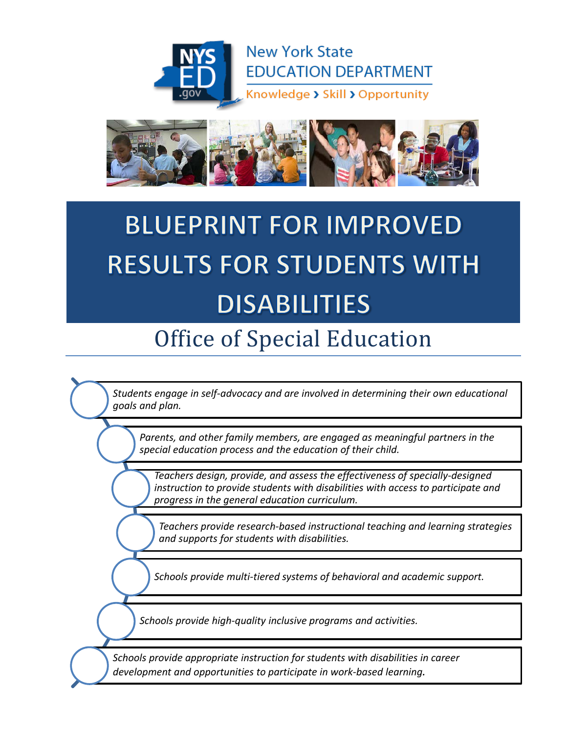



# **BLUEPRINT FOR IMPROVED RESULTS FOR STUDENTS WITH DISABILITIES**

## Office of Special Education

*Students engage in self-advocacy and are involved in determining their own educational goals and plan.*

*Parents, and other family members, are engaged as meaningful partners in the special education process and the education of their child.*

*Teachers design, provide, and assess the effectiveness of specially-designed instruction to provide students with disabilities with access to participate and progress in the general education curriculum.*

*Teachers provide research-based instructional teaching and learning strategies and supports for students with disabilities.*

*Schools provide multi-tiered systems of behavioral and academic support.*

*Schools provide high-quality inclusive programs and activities.*

*Schools provide appropriate instruction for students with disabilities in career development and opportunities to participate in work-based learning.*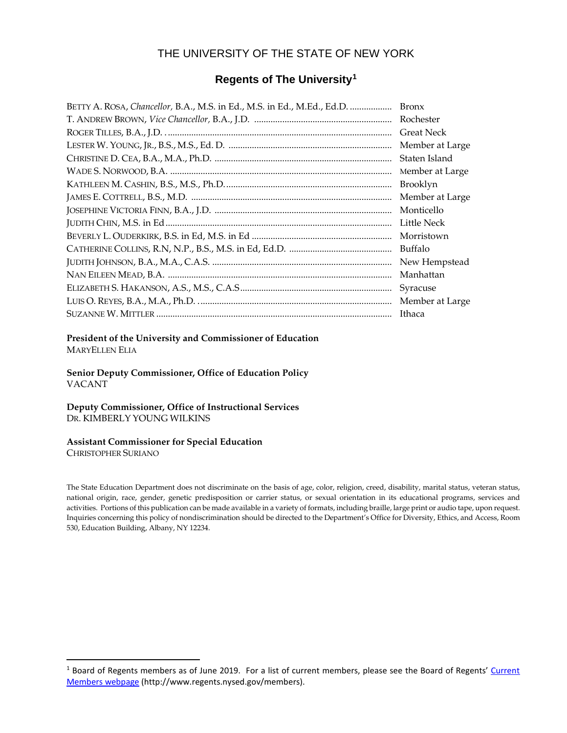#### THE UNIVERSITY OF THE STATE OF NEW YORK

#### **Regents of The University[1](#page-1-0)**

| BETTY A. ROSA, Chancellor, B.A., M.S. in Ed., M.S. in Ed., M.Ed., Ed.D. | <b>Bronx</b>      |
|-------------------------------------------------------------------------|-------------------|
|                                                                         | Rochester         |
|                                                                         | <b>Great Neck</b> |
|                                                                         | Member at Large   |
|                                                                         | Staten Island     |
|                                                                         | Member at Large   |
|                                                                         | Brooklyn          |
|                                                                         | Member at Large   |
|                                                                         | Monticello        |
|                                                                         | Little Neck       |
|                                                                         | Morristown        |
|                                                                         | Buffalo           |
|                                                                         | New Hempstead     |
|                                                                         | Manhattan         |
|                                                                         | Syracuse          |
|                                                                         | Member at Large   |
|                                                                         | Ithaca            |

**President of the University and Commissioner of Education** MARYELLEN ELIA

**Senior Deputy Commissioner, Office of Education Policy** VACANT

**Deputy Commissioner, Office of Instructional Services** DR. KIMBERLY YOUNG WILKINS

#### **Assistant Commissioner for Special Education**

CHRISTOPHER SURIANO

The State Education Department does not discriminate on the basis of age, color, religion, creed, disability, marital status, veteran status, national origin, race, gender, genetic predisposition or carrier status, or sexual orientation in its educational programs, services and activities. Portions of this publication can be made available in a variety of formats, including braille, large print or audio tape, upon request. Inquiries concerning this policy of nondiscrimination should be directed to the Department's Office for Diversity, Ethics, and Access, Room 530, Education Building, Albany, NY 12234.

<span id="page-1-0"></span><sup>&</sup>lt;sup>1</sup> Board of Regents members as of June 2019. For a list of current members, please see the Board of Regents' Current Members webpage (http://www.regents.nysed.gov/members).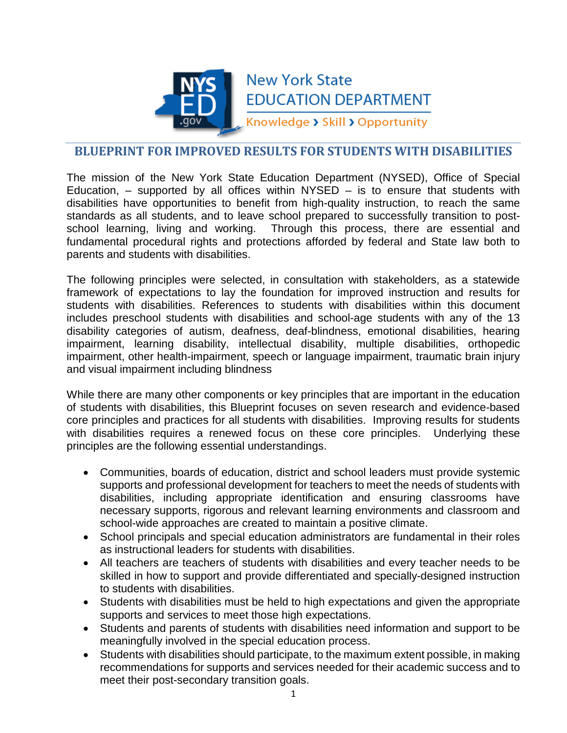

### **New York State EDUCATION DEPARTMENT**

Knowledge > Skill > Opportunity

#### **BLUEPRINT FOR IMPROVED RESULTS FOR STUDENTS WITH DISABILITIES**

The mission of the New York State Education Department (NYSED), Office of Special Education,  $-$  supported by all offices within NYSED  $-$  is to ensure that students with disabilities have opportunities to benefit from high-quality instruction, to reach the same standards as all students, and to leave school prepared to successfully transition to postschool learning, living and working. Through this process, there are essential and fundamental procedural rights and protections afforded by federal and State law both to parents and students with disabilities.

The following principles were selected, in consultation with stakeholders, as a statewide framework of expectations to lay the foundation for improved instruction and results for students with disabilities. References to students with disabilities within this document includes preschool students with disabilities and school-age students with any of the 13 disability categories of autism, deafness, deaf-blindness, emotional disabilities, hearing impairment, learning disability, intellectual disability, multiple disabilities, orthopedic impairment, other health-impairment, speech or language impairment, traumatic brain injury and visual impairment including blindness

While there are many other components or key principles that are important in the education of students with disabilities, this Blueprint focuses on seven research and evidence-based core principles and practices for all students with disabilities. Improving results for students with disabilities requires a renewed focus on these core principles. Underlying these principles are the following essential understandings.

- Communities, boards of education, district and school leaders must provide systemic supports and professional development for teachers to meet the needs of students with disabilities, including appropriate identification and ensuring classrooms have necessary supports, rigorous and relevant learning environments and classroom and school-wide approaches are created to maintain a positive climate.
- School principals and special education administrators are fundamental in their roles as instructional leaders for students with disabilities.
- All teachers are teachers of students with disabilities and every teacher needs to be skilled in how to support and provide differentiated and specially-designed instruction to students with disabilities.
- Students with disabilities must be held to high expectations and given the appropriate supports and services to meet those high expectations.
- Students and parents of students with disabilities need information and support to be meaningfully involved in the special education process.
- Students with disabilities should participate, to the maximum extent possible, in making recommendations for supports and services needed for their academic success and to meet their post-secondary transition goals.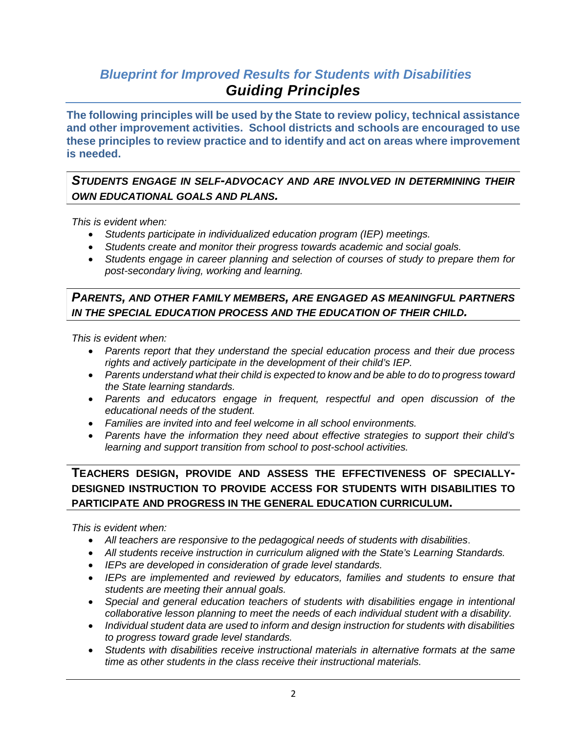#### *Blueprint for Improved Results for Students with Disabilities Guiding Principles*

**The following principles will be used by the State to review policy, technical assistance and other improvement activities. School districts and schools are encouraged to use these principles to review practice and to identify and act on areas where improvement is needed.** 

#### *STUDENTS ENGAGE IN SELF-ADVOCACY AND ARE INVOLVED IN DETERMINING THEIR OWN EDUCATIONAL GOALS AND PLANS.*

*This is evident when:*

- *Students participate in individualized education program (IEP) meetings.*
- *Students create and monitor their progress towards academic and social goals.*
- *Students engage in career planning and selection of courses of study to prepare them for post-secondary living, working and learning.*

#### *PARENTS, AND OTHER FAMILY MEMBERS, ARE ENGAGED AS MEANINGFUL PARTNERS IN THE SPECIAL EDUCATION PROCESS AND THE EDUCATION OF THEIR CHILD.*

*This is evident when:*

- *Parents report that they understand the special education process and their due process rights and actively participate in the development of their child's IEP.*
- *Parents understand what their child is expected to know and be able to do to progress toward the State learning standards.*
- *Parents and educators engage in frequent, respectful and open discussion of the educational needs of the student.*
- *Families are invited into and feel welcome in all school environments.*
- *Parents have the information they need about effective strategies to support their child's learning and support transition from school to post-school activities.*

#### **TEACHERS DESIGN, PROVIDE AND ASSESS THE EFFECTIVENESS OF SPECIALLY-DESIGNED INSTRUCTION TO PROVIDE ACCESS FOR STUDENTS WITH DISABILITIES TO PARTICIPATE AND PROGRESS IN THE GENERAL EDUCATION CURRICULUM.**

*This is evident when:*

- *All teachers are responsive to the pedagogical needs of students with disabilities*.
- *All students receive instruction in curriculum aligned with the State's Learning Standards.*
- *IEPs are developed in consideration of grade level standards.*
- *IEPs are implemented and reviewed by educators, families and students to ensure that students are meeting their annual goals.*
- *Special and general education teachers of students with disabilities engage in intentional collaborative lesson planning to meet the needs of each individual student with a disability.*
- *Individual student data are used to inform and design instruction for students with disabilities to progress toward grade level standards.*
- *Students with disabilities receive instructional materials in alternative formats at the same time as other students in the class receive their instructional materials.*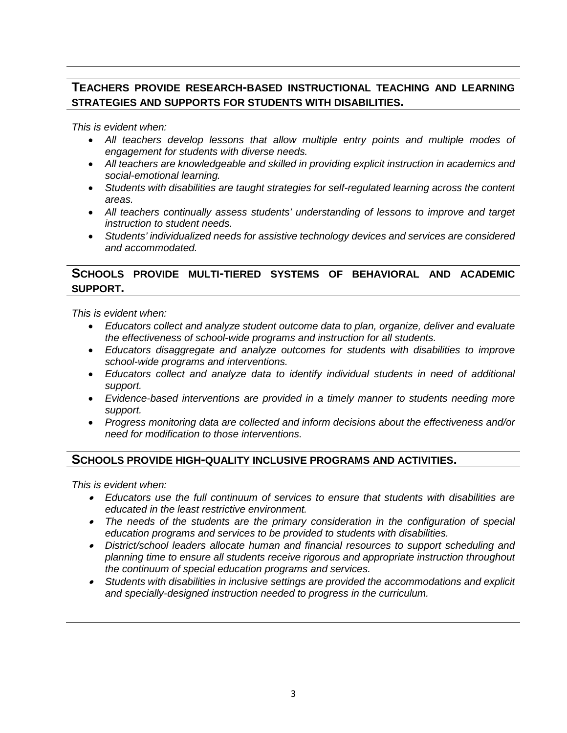#### **TEACHERS PROVIDE RESEARCH-BASED INSTRUCTIONAL TEACHING AND LEARNING STRATEGIES AND SUPPORTS FOR STUDENTS WITH DISABILITIES.**

*This is evident when:*

- *All teachers develop lessons that allow multiple entry points and multiple modes of engagement for students with diverse needs.*
- *All teachers are knowledgeable and skilled in providing explicit instruction in academics and social-emotional learning.*
- *Students with disabilities are taught strategies for self-regulated learning across the content areas.*
- *All teachers continually assess students' understanding of lessons to improve and target instruction to student needs.*
- *Students' individualized needs for assistive technology devices and services are considered and accommodated.*

#### **SCHOOLS PROVIDE MULTI-TIERED SYSTEMS OF BEHAVIORAL AND ACADEMIC SUPPORT.**

*This is evident when:*

- *Educators collect and analyze student outcome data to plan, organize, deliver and evaluate the effectiveness of school-wide programs and instruction for all students.*
- *Educators disaggregate and analyze outcomes for students with disabilities to improve school-wide programs and interventions.*
- *Educators collect and analyze data to identify individual students in need of additional support.*
- *Evidence-based interventions are provided in a timely manner to students needing more support.*
- *Progress monitoring data are collected and inform decisions about the effectiveness and/or need for modification to those interventions.*

#### **SCHOOLS PROVIDE HIGH-QUALITY INCLUSIVE PROGRAMS AND ACTIVITIES.**

*This is evident when:*

- *Educators use the full continuum of services to ensure that students with disabilities are educated in the least restrictive environment.*
- *The needs of the students are the primary consideration in the configuration of special education programs and services to be provided to students with disabilities.*
- • *District/school leaders allocate human and financial resources to support scheduling and planning time to ensure all students receive rigorous and appropriate instruction throughout the continuum of special education programs and services.*
- *Students with disabilities in inclusive settings are provided the accommodations and explicit and specially-designed instruction needed to progress in the curriculum.*